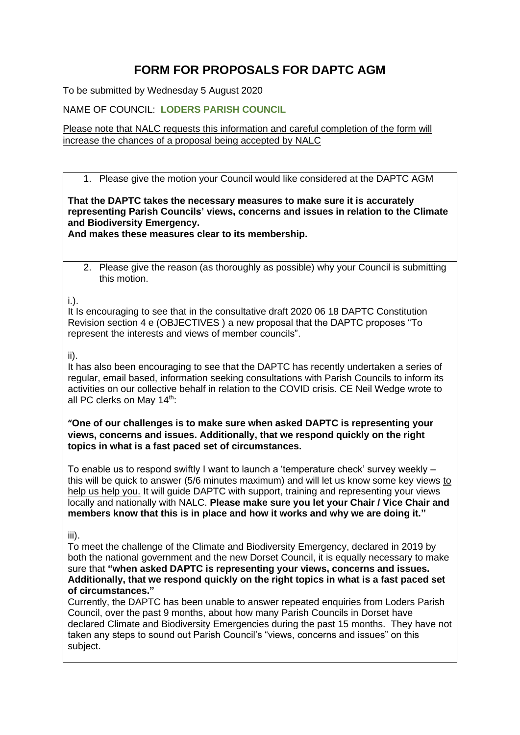## **FORM FOR PROPOSALS FOR DAPTC AGM**

To be submitted by Wednesday 5 August 2020

NAME OF COUNCIL: **LODERS PARISH COUNCIL**

Please note that NALC requests this information and careful completion of the form will increase the chances of a proposal being accepted by NALC

1. Please give the motion your Council would like considered at the DAPTC AGM

**That the DAPTC takes the necessary measures to make sure it is accurately representing Parish Councils' views, concerns and issues in relation to the Climate and Biodiversity Emergency.**

**And makes these measures clear to its membership.**

2. Please give the reason (as thoroughly as possible) why your Council is submitting this motion.

i.).

It Is encouraging to see that in the consultative draft 2020 06 18 DAPTC Constitution Revision section 4 e (OBJECTIVES ) a new proposal that the DAPTC proposes "To represent the interests and views of member councils".

## ii).

It has also been encouraging to see that the DAPTC has recently undertaken a series of regular, email based, information seeking consultations with Parish Councils to inform its activities on our collective behalf in relation to the COVID crisis. CE Neil Wedge wrote to all PC clerks on May 14<sup>th</sup>:

**"One of our challenges is to make sure when asked DAPTC is representing your views, concerns and issues. Additionally, that we respond quickly on the right topics in what is a fast paced set of circumstances.**

To enable us to respond swiftly I want to launch a 'temperature check' survey weekly – this will be quick to answer (5/6 minutes maximum) and will let us know some key views to help us help you. It will guide DAPTC with support, training and representing your views locally and nationally with NALC. **Please make sure you let your Chair / Vice Chair and members know that this is in place and how it works and why we are doing it."**

## iii).

To meet the challenge of the Climate and Biodiversity Emergency, declared in 2019 by both the national government and the new Dorset Council, it is equally necessary to make sure that **"when asked DAPTC is representing your views, concerns and issues. Additionally, that we respond quickly on the right topics in what is a fast paced set of circumstances."**

Currently, the DAPTC has been unable to answer repeated enquiries from Loders Parish Council, over the past 9 months, about how many Parish Councils in Dorset have declared Climate and Biodiversity Emergencies during the past 15 months. They have not taken any steps to sound out Parish Council's "views, concerns and issues" on this subject.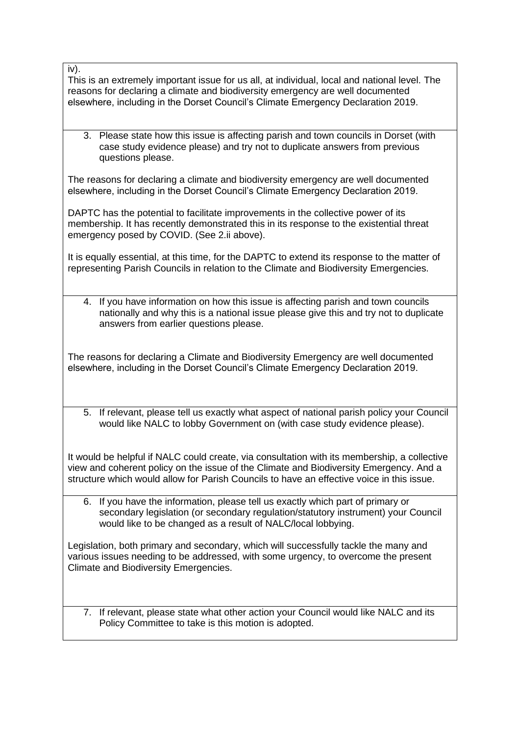iv).

This is an extremely important issue for us all, at individual, local and national level. The reasons for declaring a climate and biodiversity emergency are well documented elsewhere, including in the Dorset Council's Climate Emergency Declaration 2019.

3. Please state how this issue is affecting parish and town councils in Dorset (with case study evidence please) and try not to duplicate answers from previous questions please.

The reasons for declaring a climate and biodiversity emergency are well documented elsewhere, including in the Dorset Council's Climate Emergency Declaration 2019.

DAPTC has the potential to facilitate improvements in the collective power of its membership. It has recently demonstrated this in its response to the existential threat emergency posed by COVID. (See 2.ii above).

It is equally essential, at this time, for the DAPTC to extend its response to the matter of representing Parish Councils in relation to the Climate and Biodiversity Emergencies.

4. If you have information on how this issue is affecting parish and town councils nationally and why this is a national issue please give this and try not to duplicate answers from earlier questions please.

The reasons for declaring a Climate and Biodiversity Emergency are well documented elsewhere, including in the Dorset Council's Climate Emergency Declaration 2019.

5. If relevant, please tell us exactly what aspect of national parish policy your Council would like NALC to lobby Government on (with case study evidence please).

It would be helpful if NALC could create, via consultation with its membership, a collective view and coherent policy on the issue of the Climate and Biodiversity Emergency. And a structure which would allow for Parish Councils to have an effective voice in this issue.

6. If you have the information, please tell us exactly which part of primary or secondary legislation (or secondary regulation/statutory instrument) your Council would like to be changed as a result of NALC/local lobbying.

Legislation, both primary and secondary, which will successfully tackle the many and various issues needing to be addressed, with some urgency, to overcome the present Climate and Biodiversity Emergencies.

7. If relevant, please state what other action your Council would like NALC and its Policy Committee to take is this motion is adopted.